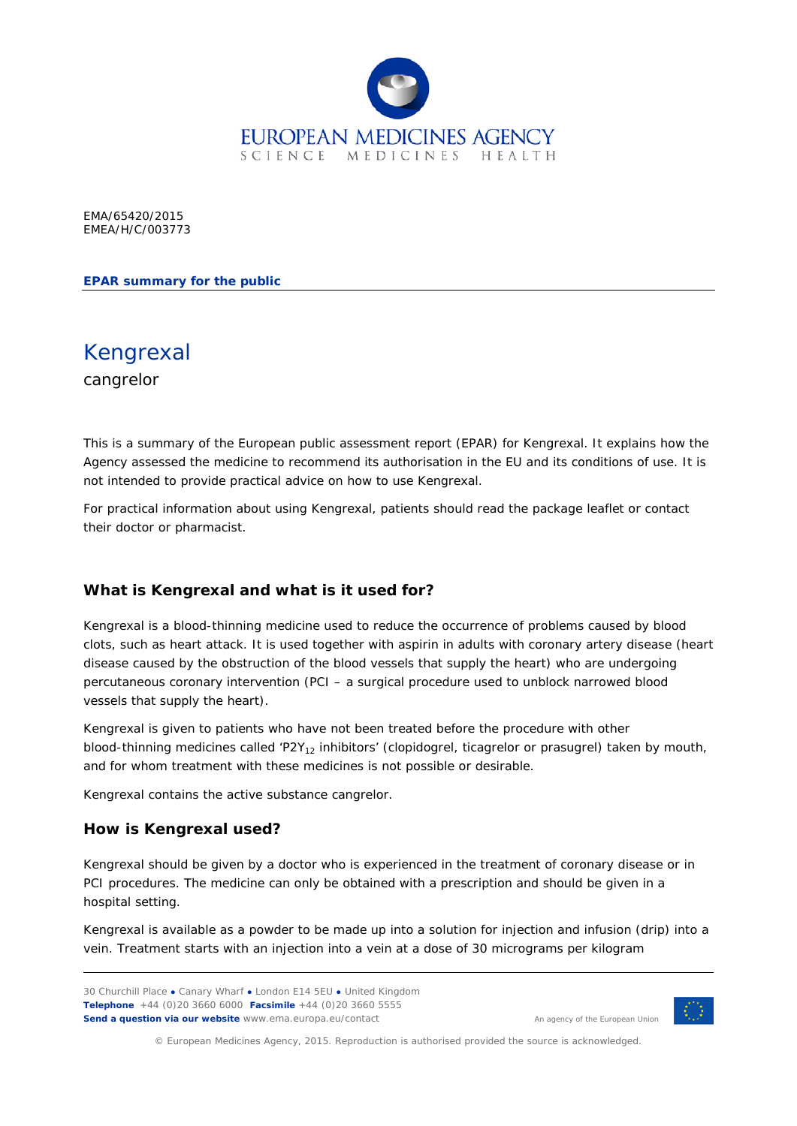

EMA/65420/2015 EMEA/H/C/003773

**EPAR summary for the public**

Kengrexal cangrelor

This is a summary of the European public assessment report (EPAR) for Kengrexal. It explains how the Agency assessed the medicine to recommend its authorisation in the EU and its conditions of use. It is not intended to provide practical advice on how to use Kengrexal.

For practical information about using Kengrexal, patients should read the package leaflet or contact their doctor or pharmacist.

#### **What is Kengrexal and what is it used for?**

Kengrexal is a blood-thinning medicine used to reduce the occurrence of problems caused by blood clots, such as heart attack. It is used together with aspirin in adults with coronary artery disease (heart disease caused by the obstruction of the blood vessels that supply the heart) who are undergoing percutaneous coronary intervention (PCI – a surgical procedure used to unblock narrowed blood vessels that supply the heart).

Kengrexal is given to patients who have not been treated before the procedure with other blood-thinning medicines called 'P2Y<sub>12</sub> inhibitors' (clopidogrel, ticagrelor or prasugrel) taken by mouth, and for whom treatment with these medicines is not possible or desirable.

Kengrexal contains the active substance cangrelor.

#### **How is Kengrexal used?**

Kengrexal should be given by a doctor who is experienced in the treatment of coronary disease or in PCI procedures. The medicine can only be obtained with a prescription and should be given in a hospital setting.

Kengrexal is available as a powder to be made up into a solution for injection and infusion (drip) into a vein. Treatment starts with an injection into a vein at a dose of 30 micrograms per kilogram



An agency of the European Union

© European Medicines Agency, 2015. Reproduction is authorised provided the source is acknowledged.

<sup>30</sup> Churchill Place **●** Canary Wharf **●** London E14 5EU **●** United Kingdom **Telephone** +44 (0)20 3660 6000 **Facsimile** +44 (0)20 3660 5555 **Send a question via our website** www.ema.europa.eu/contact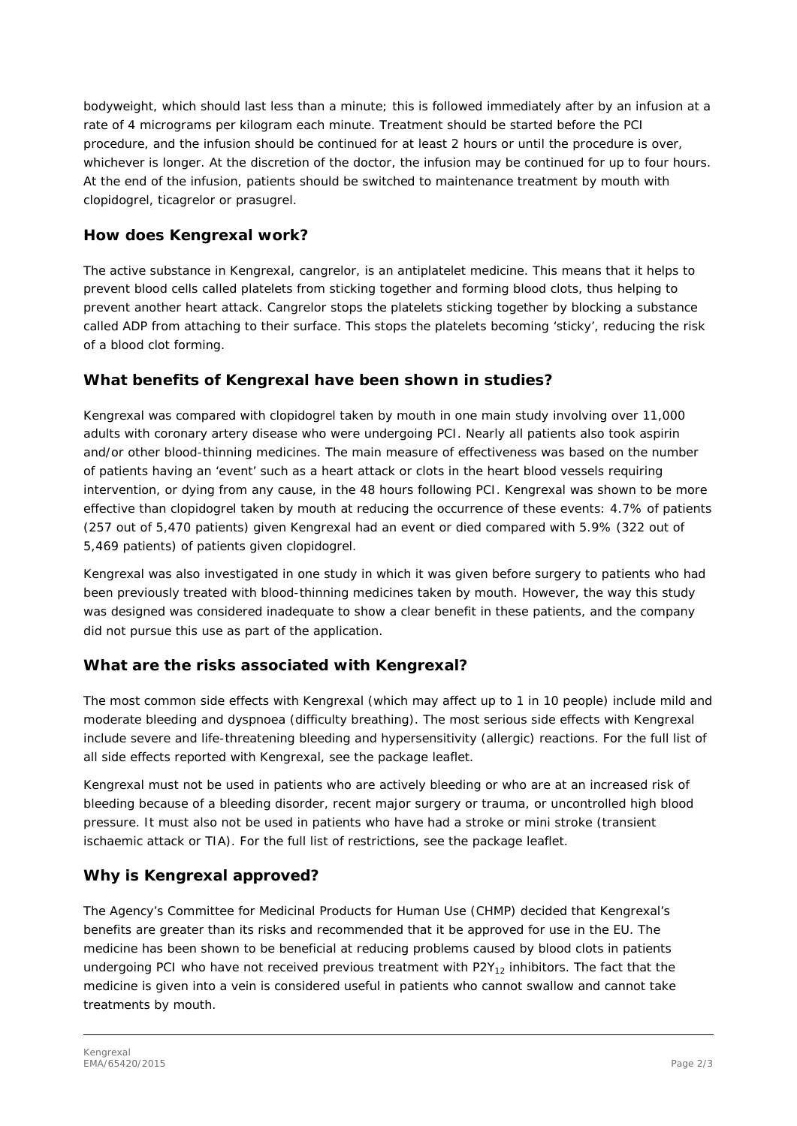bodyweight, which should last less than a minute; this is followed immediately after by an infusion at a rate of 4 micrograms per kilogram each minute. Treatment should be started before the PCI procedure, and the infusion should be continued for at least 2 hours or until the procedure is over, whichever is longer. At the discretion of the doctor, the infusion may be continued for up to four hours. At the end of the infusion, patients should be switched to maintenance treatment by mouth with clopidogrel, ticagrelor or prasugrel.

### **How does Kengrexal work?**

The active substance in Kengrexal, cangrelor, is an antiplatelet medicine. This means that it helps to prevent blood cells called platelets from sticking together and forming blood clots, thus helping to prevent another heart attack. Cangrelor stops the platelets sticking together by blocking a substance called ADP from attaching to their surface. This stops the platelets becoming 'sticky', reducing the risk of a blood clot forming.

# **What benefits of Kengrexal have been shown in studies?**

Kengrexal was compared with clopidogrel taken by mouth in one main study involving over 11,000 adults with coronary artery disease who were undergoing PCI. Nearly all patients also took aspirin and/or other blood-thinning medicines. The main measure of effectiveness was based on the number of patients having an 'event' such as a heart attack or clots in the heart blood vessels requiring intervention, or dying from any cause, in the 48 hours following PCI. Kengrexal was shown to be more effective than clopidogrel taken by mouth at reducing the occurrence of these events: 4.7% of patients (257 out of 5,470 patients) given Kengrexal had an event or died compared with 5.9% (322 out of 5,469 patients) of patients given clopidogrel.

Kengrexal was also investigated in one study in which it was given before surgery to patients who had been previously treated with blood-thinning medicines taken by mouth. However, the way this study was designed was considered inadequate to show a clear benefit in these patients, and the company did not pursue this use as part of the application.

# **What are the risks associated with Kengrexal?**

The most common side effects with Kengrexal (which may affect up to 1 in 10 people) include mild and moderate bleeding and dyspnoea (difficulty breathing). The most serious side effects with Kengrexal include severe and life-threatening bleeding and hypersensitivity (allergic) reactions. For the full list of all side effects reported with Kengrexal, see the package leaflet.

Kengrexal must not be used in patients who are actively bleeding or who are at an increased risk of bleeding because of a bleeding disorder, recent major surgery or trauma, or uncontrolled high blood pressure. It must also not be used in patients who have had a stroke or mini stroke (transient ischaemic attack or TIA). For the full list of restrictions, see the package leaflet.

# **Why is Kengrexal approved?**

The Agency's Committee for Medicinal Products for Human Use (CHMP) decided that Kengrexal's benefits are greater than its risks and recommended that it be approved for use in the EU. The medicine has been shown to be beneficial at reducing problems caused by blood clots in patients undergoing PCI who have not received previous treatment with P2 $Y_{12}$  inhibitors. The fact that the medicine is given into a vein is considered useful in patients who cannot swallow and cannot take treatments by mouth.